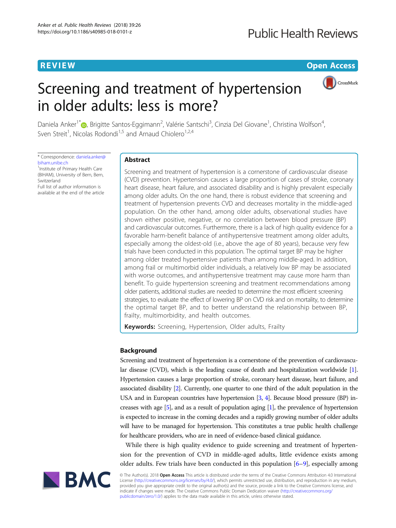**REVIEW CONTROL** CONTROL CONTROL CONTROL CONTROL CONTROL CONTROL CONTROL CONTROL CONTROL CONTROL CONTROL CONTROL CONTROL CONTROL CONTROL CONTROL CONTROL CONTROL CONTROL CONTROL CONTROL CONTROL CONTROL CONTROL CONTROL CONTR

# Screening and treatment of hypertension in older adults: less is more?



Daniela Anker<sup>1\*</sup>�[,](http://orcid.org/0000-0002-0607-0283) Brigitte Santos-Eggimann<sup>2</sup>, Valérie Santschi<sup>3</sup>, Cinzia Del Giovane<sup>1</sup>, Christina Wolfson<sup>4</sup> , Sven Streit<sup>1</sup>, Nicolas Rodondi<sup>1,5</sup> and Arnaud Chiolero<sup>1,2,4</sup>

\* Correspondence: [daniela.anker@](mailto:daniela.anker@biham.unibe.ch) [biham.unibe.ch](mailto:daniela.anker@biham.unibe.ch) <sup>1</sup>Institute of Primary Health Care (BIHAM), University of Bern, Bern, Switzerland

Full list of author information is available at the end of the article

# Abstract

Screening and treatment of hypertension is a cornerstone of cardiovascular disease (CVD) prevention. Hypertension causes a large proportion of cases of stroke, coronary heart disease, heart failure, and associated disability and is highly prevalent especially among older adults. On the one hand, there is robust evidence that screening and treatment of hypertension prevents CVD and decreases mortality in the middle-aged population. On the other hand, among older adults, observational studies have shown either positive, negative, or no correlation between blood pressure (BP) and cardiovascular outcomes. Furthermore, there is a lack of high quality evidence for a favorable harm-benefit balance of antihypertensive treatment among older adults, especially among the oldest-old (i.e., above the age of 80 years), because very few trials have been conducted in this population. The optimal target BP may be higher among older treated hypertensive patients than among middle-aged. In addition, among frail or multimorbid older individuals, a relatively low BP may be associated with worse outcomes, and antihypertensive treatment may cause more harm than benefit. To guide hypertension screening and treatment recommendations among older patients, additional studies are needed to determine the most efficient screening strategies, to evaluate the effect of lowering BP on CVD risk and on mortality, to determine the optimal target BP, and to better understand the relationship between BP, frailty, multimorbidity, and health outcomes.

Keywords: Screening, Hypertension, Older adults, Frailty

# Background

Screening and treatment of hypertension is a cornerstone of the prevention of cardiovascular disease (CVD), which is the leading cause of death and hospitalization worldwide [[1](#page-13-0)]. Hypertension causes a large proportion of stroke, coronary heart disease, heart failure, and associated disability [\[2\]](#page-13-0). Currently, one quarter to one third of the adult population in the USA and in European countries have hypertension  $[3, 4]$  $[3, 4]$  $[3, 4]$  $[3, 4]$  $[3, 4]$ . Because blood pressure  $(BP)$  increases with age [\[5\]](#page-13-0), and as a result of population aging [\[1\]](#page-13-0), the prevalence of hypertension is expected to increase in the coming decades and a rapidly growing number of older adults will have to be managed for hypertension. This constitutes a true public health challenge for healthcare providers, who are in need of evidence-based clinical guidance.

While there is high quality evidence to guide screening and treatment of hypertension for the prevention of CVD in middle-aged adults, little evidence exists among older adults. Few trials have been conducted in this population  $[6-9]$  $[6-9]$  $[6-9]$  $[6-9]$ , especially among



© The Author(s). 2018 Open Access This article is distributed under the terms of the Creative Commons Attribution 4.0 International License ([http://creativecommons.org/licenses/by/4.0/\)](http://creativecommons.org/licenses/by/4.0/), which permits unrestricted use, distribution, and reproduction in any medium, provided you give appropriate credit to the original author(s) and the source, provide a link to the Creative Commons license, and indicate if changes were made. The Creative Commons Public Domain Dedication waiver ([http://creativecommons.org/](http://creativecommons.org/publicdomain/zero/1.0/) [publicdomain/zero/1.0/\)](http://creativecommons.org/publicdomain/zero/1.0/) applies to the data made available in this article, unless otherwise stated.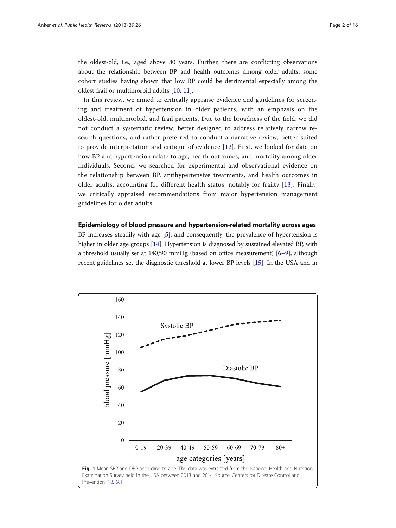<span id="page-1-0"></span>the oldest-old, i.e., aged above 80 years. Further, there are conflicting observations about the relationship between BP and health outcomes among older adults, some cohort studies having shown that low BP could be detrimental especially among the oldest frail or multimorbid adults [[10,](#page-13-0) [11\]](#page-13-0).

In this review, we aimed to critically appraise evidence and guidelines for screening and treatment of hypertension in older patients, with an emphasis on the oldest-old, multimorbid, and frail patients. Due to the broadness of the field, we did not conduct a systematic review, better designed to address relatively narrow research questions, and rather preferred to conduct a narrative review, better suited to provide interpretation and critique of evidence [\[12\]](#page-13-0). First, we looked for data on how BP and hypertension relate to age, health outcomes, and mortality among older individuals. Second, we searched for experimental and observational evidence on the relationship between BP, antihypertensive treatments, and health outcomes in older adults, accounting for different health status, notably for frailty [\[13\]](#page-13-0). Finally, we critically appraised recommendations from major hypertension management guidelines for older adults.

# Epidemiology of blood pressure and hypertension-related mortality across ages

BP increases steadily with age [\[5](#page-13-0)], and consequently, the prevalence of hypertension is higher in older age groups [\[14\]](#page-13-0). Hypertension is diagnosed by sustained elevated BP, with a threshold usually set at 140/90 mmHg (based on office measurement) [\[6](#page-13-0)–[9\]](#page-13-0), although recent guidelines set the diagnostic threshold at lower BP levels [\[15](#page-13-0)]. In the USA and in

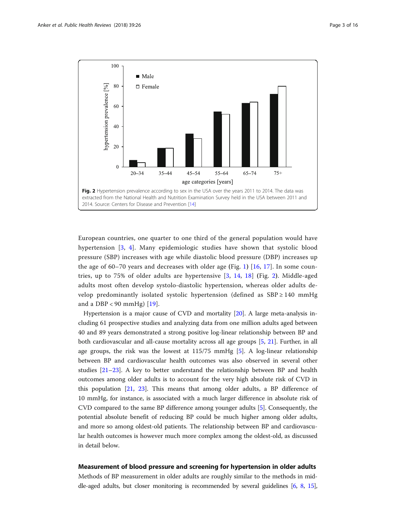

European countries, one quarter to one third of the general population would have hypertension [\[3](#page-13-0), [4\]](#page-13-0). Many epidemiologic studies have shown that systolic blood pressure (SBP) increases with age while diastolic blood pressure (DBP) increases up the age of 60–70 years and decreases with older age (Fig. [1](#page-1-0)) [[16,](#page-13-0) [17](#page-13-0)]. In some countries, up to 75% of older adults are hypertensive [[3](#page-13-0), [14,](#page-13-0) [18\]](#page-13-0) (Fig. 2). Middle-aged adults most often develop systolo-diastolic hypertension, whereas older adults develop predominantly isolated systolic hypertension (defined as  $SBP \ge 140$  mmHg and a  $DBP < 90$  mmHg) [\[19\]](#page-13-0).

Hypertension is a major cause of CVD and mortality [[20](#page-13-0)]. A large meta-analysis including 61 prospective studies and analyzing data from one million adults aged between 40 and 89 years demonstrated a strong positive log-linear relationship between BP and both cardiovascular and all-cause mortality across all age groups [\[5](#page-13-0), [21](#page-13-0)]. Further, in all age groups, the risk was the lowest at 115/75 mmHg [[5\]](#page-13-0). A log-linear relationship between BP and cardiovascular health outcomes was also observed in several other studies  $[21-23]$  $[21-23]$  $[21-23]$ . A key to better understand the relationship between BP and health outcomes among older adults is to account for the very high absolute risk of CVD in this population [[21](#page-13-0), [23\]](#page-13-0). This means that among older adults, a BP difference of 10 mmHg, for instance, is associated with a much larger difference in absolute risk of CVD compared to the same BP difference among younger adults [[5\]](#page-13-0). Consequently, the potential absolute benefit of reducing BP could be much higher among older adults, and more so among oldest-old patients. The relationship between BP and cardiovascular health outcomes is however much more complex among the oldest-old, as discussed in detail below.

# Measurement of blood pressure and screening for hypertension in older adults

Methods of BP measurement in older adults are roughly similar to the methods in middle-aged adults, but closer monitoring is recommended by several guidelines [[6](#page-13-0), [8,](#page-13-0) [15\]](#page-13-0),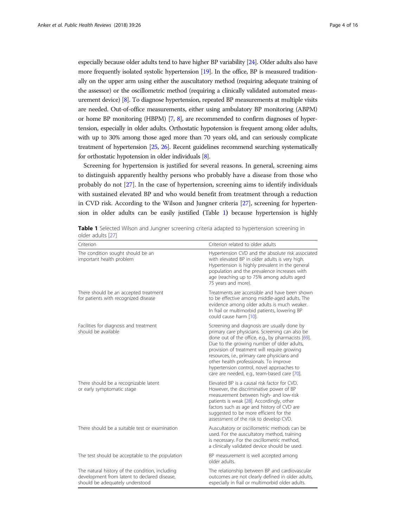especially because older adults tend to have higher BP variability [\[24](#page-13-0)]. Older adults also have more frequently isolated systolic hypertension [\[19\]](#page-13-0). In the office, BP is measured traditionally on the upper arm using either the auscultatory method (requiring adequate training of the assessor) or the oscillometric method (requiring a clinically validated automated measurement device) [\[8](#page-13-0)]. To diagnose hypertension, repeated BP measurements at multiple visits are needed. Out-of-office measurements, either using ambulatory BP monitoring (ABPM) or home BP monitoring (HBPM) [\[7,](#page-13-0) [8\]](#page-13-0), are recommended to confirm diagnoses of hypertension, especially in older adults. Orthostatic hypotension is frequent among older adults, with up to 30% among those aged more than 70 years old, and can seriously complicate treatment of hypertension [[25,](#page-13-0) [26\]](#page-13-0). Recent guidelines recommend searching systematically for orthostatic hypotension in older individuals [[8](#page-13-0)].

Screening for hypertension is justified for several reasons. In general, screening aims to distinguish apparently healthy persons who probably have a disease from those who probably do not [[27](#page-13-0)]. In the case of hypertension, screening aims to identify individuals with sustained elevated BP and who would benefit from treatment through a reduction in CVD risk. According to the Wilson and Jungner criteria [[27](#page-13-0)], screening for hypertension in older adults can be easily justified (Table 1) because hypertension is highly

| Criterion                                                                                                                          | Criterion related to older adults                                                                                                                                                                                                                                                                                                                                                                                                       |
|------------------------------------------------------------------------------------------------------------------------------------|-----------------------------------------------------------------------------------------------------------------------------------------------------------------------------------------------------------------------------------------------------------------------------------------------------------------------------------------------------------------------------------------------------------------------------------------|
| The condition sought should be an<br>important health problem                                                                      | Hypertension CVD and the absolute risk associated<br>with elevated BP in older adults is very high.<br>Hypertension is highly prevalent in the general<br>population and the prevalence increases with<br>age (reaching up to 75% among adults aged<br>75 years and more).                                                                                                                                                              |
| There should be an accepted treatment<br>for patients with recognized disease                                                      | Treatments are accessible and have been shown<br>to be effective among middle-aged adults. The<br>evidence among older adults is much weaker.<br>In frail or multimorbid patients, lowering BP<br>could cause harm [10].                                                                                                                                                                                                                |
| Facilities for diagnosis and treatment<br>should be available                                                                      | Screening and diagnosis are usually done by<br>primary care physicians. Screening can also be<br>done out of the office, e.g., by pharmacists [69].<br>Due to the growing number of older adults,<br>provision of treatment will require growing<br>resources, i.e., primary care physicians and<br>other health professionals. To improve<br>hypertension control, novel approaches to<br>care are needed, e.g., team-based care [70]. |
| There should be a recognizable latent<br>or early symptomatic stage                                                                | Elevated BP is a causal risk factor for CVD.<br>However, the discriminative power of BP<br>measurement between high- and low-risk<br>patients is weak [28]. Accordingly, other<br>factors such as age and history of CVD are<br>suggested to be more efficient for the<br>assessment of the risk to develop CVD.                                                                                                                        |
| There should be a suitable test or examination                                                                                     | Auscultatory or oscillometric methods can be<br>used. For the auscultatory method, training<br>is necessary. For the oscillometric method,<br>a clinically validated device should be used.                                                                                                                                                                                                                                             |
| The test should be acceptable to the population                                                                                    | BP measurement is well accepted among<br>older adults                                                                                                                                                                                                                                                                                                                                                                                   |
| The natural history of the condition, including<br>development from latent to declared disease,<br>should be adequately understood | The relationship between BP and cardiovascular<br>outcomes are not clearly defined in older adults,<br>especially in frail or multimorbid older adults.                                                                                                                                                                                                                                                                                 |

Table 1 Selected Wilson and Jungner screening criteria adapted to hypertension screening in older adults [\[27\]](#page-13-0)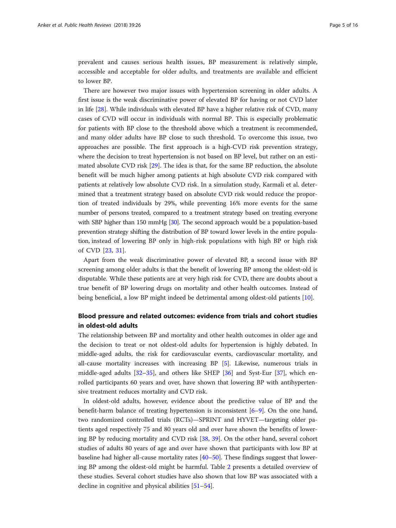prevalent and causes serious health issues, BP measurement is relatively simple, accessible and acceptable for older adults, and treatments are available and efficient to lower BP.

There are however two major issues with hypertension screening in older adults. A first issue is the weak discriminative power of elevated BP for having or not CVD later in life [[28\]](#page-13-0). While individuals with elevated BP have a higher relative risk of CVD, many cases of CVD will occur in individuals with normal BP. This is especially problematic for patients with BP close to the threshold above which a treatment is recommended, and many older adults have BP close to such threshold. To overcome this issue, two approaches are possible. The first approach is a high-CVD risk prevention strategy, where the decision to treat hypertension is not based on BP level, but rather on an estimated absolute CVD risk [[29](#page-13-0)]. The idea is that, for the same BP reduction, the absolute benefit will be much higher among patients at high absolute CVD risk compared with patients at relatively low absolute CVD risk. In a simulation study, Karmali et al. determined that a treatment strategy based on absolute CVD risk would reduce the proportion of treated individuals by 29%, while preventing 16% more events for the same number of persons treated, compared to a treatment strategy based on treating everyone with SBP higher than 150 mmHg [\[30](#page-13-0)]. The second approach would be a population-based prevention strategy shifting the distribution of BP toward lower levels in the entire population, instead of lowering BP only in high-risk populations with high BP or high risk of CVD [[23](#page-13-0), [31](#page-13-0)].

Apart from the weak discriminative power of elevated BP, a second issue with BP screening among older adults is that the benefit of lowering BP among the oldest-old is disputable. While these patients are at very high risk for CVD, there are doubts about a true benefit of BP lowering drugs on mortality and other health outcomes. Instead of being beneficial, a low BP might indeed be detrimental among oldest-old patients [[10](#page-13-0)].

# Blood pressure and related outcomes: evidence from trials and cohort studies in oldest-old adults

The relationship between BP and mortality and other health outcomes in older age and the decision to treat or not oldest-old adults for hypertension is highly debated. In middle-aged adults, the risk for cardiovascular events, cardiovascular mortality, and all-cause mortality increases with increasing BP [[5\]](#page-13-0). Likewise, numerous trials in middle-aged adults [\[32](#page-13-0)–[35\]](#page-14-0), and others like SHEP [[36\]](#page-14-0) and Syst-Eur [\[37](#page-14-0)], which enrolled participants 60 years and over, have shown that lowering BP with antihypertensive treatment reduces mortality and CVD risk.

In oldest-old adults, however, evidence about the predictive value of BP and the benefit-harm balance of treating hypertension is inconsistent [\[6](#page-13-0)–[9](#page-13-0)]. On the one hand, two randomized controlled trials (RCTs)—SPRINT and HYVET—targeting older patients aged respectively 75 and 80 years old and over have shown the benefits of lowering BP by reducing mortality and CVD risk [[38](#page-14-0), [39](#page-14-0)]. On the other hand, several cohort studies of adults 80 years of age and over have shown that participants with low BP at baseline had higher all-cause mortality rates [[40](#page-14-0)–[50](#page-14-0)]. These findings suggest that lowering BP among the oldest-old might be harmful. Table [2](#page-5-0) presents a detailed overview of these studies. Several cohort studies have also shown that low BP was associated with a decline in cognitive and physical abilities [[51](#page-14-0)–[54\]](#page-14-0).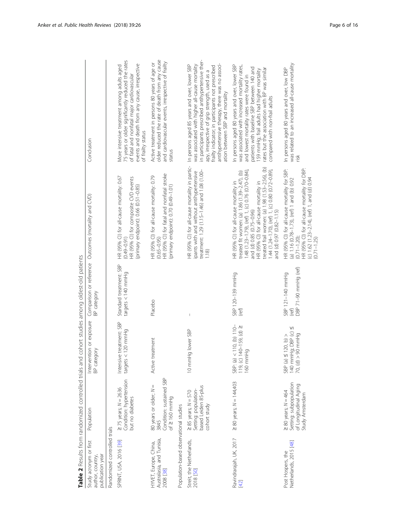<span id="page-5-0"></span>

| Study acronym or first<br>publication year<br>author, country,  | Population                                                                                       | Intervention or exposure<br>BP category                                       | BP category                                       | Comparison or reference Outcomes (mortality and CVD)                                                                                                                                                                                                                                                                                               | Conclusion                                                                                                                                                                                                                                                                                                                                     |
|-----------------------------------------------------------------|--------------------------------------------------------------------------------------------------|-------------------------------------------------------------------------------|---------------------------------------------------|----------------------------------------------------------------------------------------------------------------------------------------------------------------------------------------------------------------------------------------------------------------------------------------------------------------------------------------------------|------------------------------------------------------------------------------------------------------------------------------------------------------------------------------------------------------------------------------------------------------------------------------------------------------------------------------------------------|
| Randomized controlled trials                                    |                                                                                                  |                                                                               |                                                   |                                                                                                                                                                                                                                                                                                                                                    |                                                                                                                                                                                                                                                                                                                                                |
| SPRINT, USA, 2016 [39]                                          | 2 75 years; N = 2636<br>Condition: hypertension<br>but no diabetes                               | Intensive treatment: SBP<br>$targest < 120$ mmHg                              | Standard treatment: SBP<br>targets < 140 mmHg     | HR (95% CI) for all-cause mortality: 0.67<br>HR (95% CI) for composite CVD events<br>(primary endpoint): 0.66 (0.51-0.85)<br>$(0.49 - 0.91)$                                                                                                                                                                                                       | 75 years or older significantly reduced the rates<br>events and death from any cause, irrespective<br>More intensive treatment among adults aged<br>of fatal and nonfatal major cardiovascular<br>of frailty status                                                                                                                            |
| Australasia, and Tunisia,<br>HYVET, Europe, China,<br>2008 [38] | Condition: sustained SBP<br>80 years or older; N =<br>of $\geq$ 160 mmHg<br>3845                 | Active treatment                                                              | Placebo                                           | HR (95% CI) for fatal and nonfatal stroke<br>HR (95% CI) for all-cause mortality: 0.79<br>(primary endpoint): 0.70 (0.49-1.01)<br>$(0.65 - 0.95)$                                                                                                                                                                                                  | older reduced the rate of death from any cause<br>and cardiovascular events, irrespective of frailty<br>Active treatment in persons 80 years of age or<br>status                                                                                                                                                                               |
| Population-based observational studies                          |                                                                                                  |                                                                               |                                                   |                                                                                                                                                                                                                                                                                                                                                    |                                                                                                                                                                                                                                                                                                                                                |
| Streit, the Netherlands,<br>2018 [50]                           | based Leiden 85-plus<br>Setting: population-<br>$> 85$ years; $N = 570$<br>cohort study          | 10 mmHg lower SBP                                                             | $\mathsf I$                                       | HR (95% CI) for all-cause mortality in partic-<br>treatment: 1.29 (1.15-1.46) and 1.08 (1.00-<br>ipants with and without antihypertensive<br>118                                                                                                                                                                                                   | in participants prescribed antihypertensive ther-<br>antihypertensive therapy, there was no associ-<br>was associated with higher all-cause mortality<br>In persons aged 85 years and over, lower SBP<br>frailty indicator; in participants not prescribed<br>apy, irrespective of grip strength, used as a<br>ation between SBP and mortality |
| Ravindrarajah, UK, 2017<br>$[42]$                               | $\geq$ 80 years; N = 144,403                                                                     | $-110$ , (b) $110-$<br>140-159, (d) $\ge$<br>160 mmHg<br>SBP: (a)<br>119, (c) | SBP 120-139 mmHg<br>(ref)                         | treated frail women: (a) 1.98 (1.53-2.56), (b)<br>1.48 (1.23-1.79), (ref) 1, (c) 0.76 (0.70-0.84),<br>1.44 (1.24–1.70), (ref) 1, (c) 0.80 (0.72–0.89),<br>and (d) 0.97 (0.82–1.15)<br>treated fit women: (a) 1.86 (1.39-2.47), (b)<br>HR (95% CI) for all-cause mortality in<br>HR (95% Cl) for all-cause mortality in<br>and (d) 0.85 (0.75-0.96) | In persons aged 80 years and over, lower SBP<br>was associated with increased mortality rates,<br>patients with baseline SBP between 140 and<br>rates but the association with BP was similar<br>59 mmHq; frail adults had higher mortality<br>and lowest mortality rates were found in<br>compared with non-frail adults                      |
| Netherlands, 2015 [48]<br>Post Hospers, the                     | Setting: subpopulation<br>of Longitudinal Aging<br>$\geq 80$ years; $N = 464$<br>Study Amsterdam | VI<br>SBP (a) $\leq$ 120, b) ><br>140 mmHg; DBP (c)<br>90 mmHg<br>70, (d)     | DBP 71-90 mmHg (ref)<br>SBP 121-140 mmHg<br>(ref) | HR (95% CI) for all-cause mortality for SBP:<br>HR (95% CI) for all-cause mortality for DBP:<br>(c) 1.62 (1.23-2.14), (ref) 1, and (d) 0.94<br>(a) $1.16$ (0.78-1.73), (ref) 1 and (b) 0.92<br>$(0.71 - 1.20);$<br>$(0.71 - 1.25)$                                                                                                                 | was related to an increased all-cause mortality<br>In persons aged 80 years and over, low DBP<br>risk                                                                                                                                                                                                                                          |

Table 2 Results from randomized controlled trials and cohort studies among oldest-old patients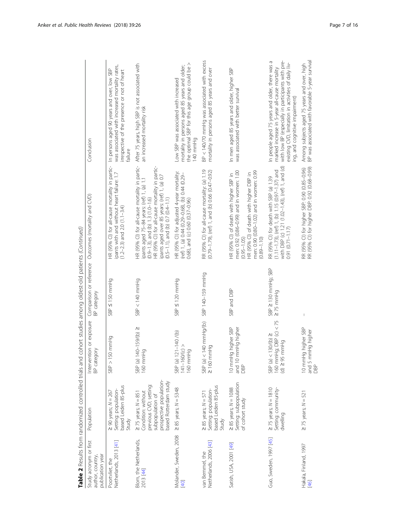| Study acronym or first<br>publication year<br>author, country, | Population                                                                                                                                         | Intervention or exposure<br>BP category                                   | BP category                                                                                                                                                                                                                                                                                                                                                                      | Comparison or reference Outcomes (mortality and CVD)                                                                                                                                                                                                                                 | Conclusion                                                                                                                                                                                                                                     |
|----------------------------------------------------------------|----------------------------------------------------------------------------------------------------------------------------------------------------|---------------------------------------------------------------------------|----------------------------------------------------------------------------------------------------------------------------------------------------------------------------------------------------------------------------------------------------------------------------------------------------------------------------------------------------------------------------------|--------------------------------------------------------------------------------------------------------------------------------------------------------------------------------------------------------------------------------------------------------------------------------------|------------------------------------------------------------------------------------------------------------------------------------------------------------------------------------------------------------------------------------------------|
| Netherlands, 2013 [41]<br>Poortvliet, the                      | Setting: population-<br>based Leiden 85-plus<br>$\geq 90$ years; $N = 267$<br>Study                                                                | 50 mmHq<br>SB > 7                                                         | $SP \leq 150$ mmHq                                                                                                                                                                                                                                                                                                                                                               | HR (95% CI) for all-cause mortality in partic-<br>ipants with and without heart failure: 1.7<br>$(1.2 - 2.3)$ and $2.0$ $(1.1 - 3.4)$                                                                                                                                                | was associated with increased mortality rates,<br>In persons aged 90 years and over, low SBP<br>irrespective of the presence or not of heart<br>failure                                                                                        |
| Blom, the Netherlands,<br>2013 [44]                            | prospective population-<br>based Rotterdam study<br>previous CVD; setting:<br>Condition: without<br>$\geq$ 75 years; $N = 851$<br>subpopulation of | SBP (a) 140-159/(b) 2<br>160 mmHg                                         | $SP < 140$ mm Hg                                                                                                                                                                                                                                                                                                                                                                 | HR (95% CI) for all-cause mortality in partic-<br>HR (95% CI) for all-cause mortality in partic-<br>ipants aged over 85 years: (ref) 1, (a) 0.7<br>ipants aged 75-84 years: (ref) 1, (a) 1.1<br>$(0.5 - 1.1)$ , and (b) 0.7 $(0.4 - 1.1)$<br>$(0.9 - 1.3)$ , and (b) $1.3$ (1.0-1.6) | After 75 years, high SBP is not associated with<br>an increased mortality risk                                                                                                                                                                 |
| Molander, Sweden, 2008<br>$\overline{Q}$                       | $\geq$ 85 years; $N = 5348$                                                                                                                        | SBP (a) 121-140 /(b)<br>$141 - 160/(c)$<br>160 mmHg                       | $SBP \leq 120$ mmHg                                                                                                                                                                                                                                                                                                                                                              | HR (95% CI) for adjusted 4-year mortality:<br>(ref) 1, (a) 0.44 (0.29-0.68), (b) 0.44 (0.29-<br>0.68), and (c) 0.60 (0.37-0.96)                                                                                                                                                      | the optimal SBP for this age group could be ><br>mortality in persons aged 85 years and older;<br>Low SBP was associated with increased<br>140 mmHq                                                                                            |
| Netherlands, 2006 [43]<br>van Bemmel, the                      | based Leiden 85-plus<br>Setting: population-<br>$\geq$ 85 years; $N = 571$<br>Study                                                                | SBP (a) < $140$ mmHq/(b)<br>$\geq 160$ mmHg                               | SBP 140-159 mmHg                                                                                                                                                                                                                                                                                                                                                                 | RR (95% CI) for all-cause mortality: (a) 1.19<br>$(0.79 - 1.79)$ , (ref) 1, and (b) 0.66 $(0.47 - 0.92)$                                                                                                                                                                             | BP < 140/70 mmHg was associated with excess<br>mortality in persons aged 85 years and over                                                                                                                                                     |
| Satish, USA, 2001 [49]                                         | Setting: subpopulation<br>$\geq$ 85 years; $N = 1088$<br>of cohort study                                                                           | 10 mmHg higher SBP<br>and 10 mmHg higher<br>DBP                           | SBP and DBP                                                                                                                                                                                                                                                                                                                                                                      | men: 0.92 (0.86-0.99) and in women: 1.00<br>men: 0.90 (0.80-1.02) and in women: 0.99<br>HR (95% CI) of death with higher DBP in<br>HR (95% CI) of death with higher SBP in<br>$(0.95 - 1.05)$<br>$(0.89 - 1.10)$                                                                     | In men aged 85 years and older, higher SBP<br>was associated with better survival                                                                                                                                                              |
| Guo, Sweden, 1997 [45]                                         | $\geq$ 75 years; $N = 1810$<br>Setting: community-<br>dwelling                                                                                     | 160 mmHg; DBP (c) < 75<br>$SBP$ (a) < 130/(b) $\ge$<br>$(d) \geq 95$ mmHg | SBP 2 130 mmHg; SBP<br>$\geq$ 75 mmHq                                                                                                                                                                                                                                                                                                                                            | with DBP (c) 1.21 (1.02-1.43), (ref) 1, and (d)<br>$(1.11 - 1.73)$ , (ref) 1, (b) 1.15 $(0.97 - 1.37)$ and<br>RR (95% CI) for death with SBP (a) 1.39<br>$0.91 (0.71 - 1.17)$                                                                                                        | with low BP (especially in participants with pre-<br>In people aged 75 years and older, there was a<br>existing CVD, limitation in activities of daily liv-<br>marked increase in 5-year all-cause mortality<br>ing, and cognitive impairment) |
| Hakala, Finland, 1997<br>[46]                                  | $\geq$ 75 years; $N$ = 521                                                                                                                         | 10 mmHg higher SBP<br>and 5 mmHg higher<br>DBP                            | $\begin{array}{c} \rule{0pt}{2.5ex} \rule{0pt}{2.5ex} \rule{0pt}{2.5ex} \rule{0pt}{2.5ex} \rule{0pt}{2.5ex} \rule{0pt}{2.5ex} \rule{0pt}{2.5ex} \rule{0pt}{2.5ex} \rule{0pt}{2.5ex} \rule{0pt}{2.5ex} \rule{0pt}{2.5ex} \rule{0pt}{2.5ex} \rule{0pt}{2.5ex} \rule{0pt}{2.5ex} \rule{0pt}{2.5ex} \rule{0pt}{2.5ex} \rule{0pt}{2.5ex} \rule{0pt}{2.5ex} \rule{0pt}{2.5ex} \rule{0$ | RR (95% CI) for higher DBP: 0.92 (0.68-0.99)<br>RR (95% CI) for higher SBP: 0.90 (0.85-0.96)                                                                                                                                                                                         | BP was associated with favorable 5-year survival<br>Among subjects aged 75 years and over, high                                                                                                                                                |

Table 2 Results from randomized controlled trials and cohort studies among oldest-old patients (Continued)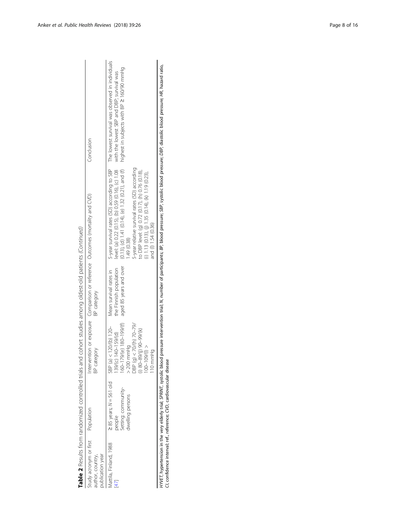| tudy acronym or first Population     |                                                   | Table 2 Results from randomized controlled trials and cohort studies among oldest-old patients (Continued)                                                                                            |                                                                            | Intervention or exposure Comparison or reference Outcomes (mortality and CVD)                                                                                                                                                                                                                                               | Conclusion                                                                                                                                                                            |
|--------------------------------------|---------------------------------------------------|-------------------------------------------------------------------------------------------------------------------------------------------------------------------------------------------------------|----------------------------------------------------------------------------|-----------------------------------------------------------------------------------------------------------------------------------------------------------------------------------------------------------------------------------------------------------------------------------------------------------------------------|---------------------------------------------------------------------------------------------------------------------------------------------------------------------------------------|
| author, country,<br>oublication year |                                                   | BP category                                                                                                                                                                                           | BP category                                                                |                                                                                                                                                                                                                                                                                                                             |                                                                                                                                                                                       |
| Mattila, Finland, 1988               | setting: community-<br>dwelling persons<br>people | $\geq$ 85 years; N = 561 old SBP (a) < 120/(b) 120-<br>160-179/(e) 180-199/(f)<br>DBP (g) < 70/(h) 70-79/<br>0 80-89/(i) 90-99/(k)<br>39/(c) 140-159/(d)<br>$-200$ mmHq<br>$<$ (l)/601-001<br>10 mmHg | Mean survival rates in<br>the Finnish population<br>aged 85 years and over | $(0.13)$ , $(d) 1.41$ $(0.14)$ , $(e) 1.32$ $(0.21)$ , and $(f)$<br>5-year relative survival rates (SD) according<br>level: (a) 0.22 (0.15), (b) 0.59 (0.16), (c) 1.08<br>to DBP level: (q) 0.72 (0.17), (h) 0.76 (0.18),<br>$(0, 1.13, (0.13), (0, 1.35, (0.14), (k), 1.19, (0.23),$<br>and (l) 1.54 (0.36)<br>1.49 (0.38) | 5-year survival rates (SD) according to SBP The lowest survival was observed in individuals<br>highest in subjects with BP ≥ 160/90 mmHg<br>with the lowest SBP and DBP; survival was |

HYVET, hypertension in the very elderly trial; SPRINT, systolic blood pressure intervention trial; N, number of participants; BP, blood pressure; SBP, systolic blood pressure; DBP, diastolic blood pressure; HR, hazard rati HYVET, hypertension in the very elderly trial; SPRINT, systolic blood pressure intervention trial; N, number of participants; BP, blood pressure; SBP, systolic blood pressure; DBP, diastolic blood pressure; HR, hazard ratio, CI, confidence interval; ref., reference; CVD, cardiovascular disease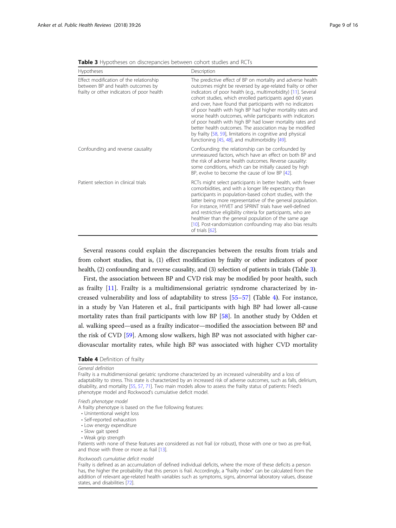| <b>Hypotheses</b>                                                                                                          | Description                                                                                                                                                                                                                                                                                                                                                                                                                                                                                                                                                                                                                                                                              |
|----------------------------------------------------------------------------------------------------------------------------|------------------------------------------------------------------------------------------------------------------------------------------------------------------------------------------------------------------------------------------------------------------------------------------------------------------------------------------------------------------------------------------------------------------------------------------------------------------------------------------------------------------------------------------------------------------------------------------------------------------------------------------------------------------------------------------|
| Effect modification of the relationship<br>between BP and health outcomes by<br>frailty or other indicators of poor health | The predictive effect of BP on mortality and adverse health<br>outcomes might be reversed by age-related frailty or other<br>indicators of poor health (e.g., multimorbidity) [11]. Several<br>cohort studies, which enrolled participants aged 60 years<br>and over, have found that participants with no indicators<br>of poor health with high BP had higher mortality rates and<br>worse health outcomes, while participants with indicators<br>of poor health with high BP had lower mortality rates and<br>better health outcomes. The association may be modified<br>by frailty [58, 59], limitations in cognitive and physical<br>functioning [45, 48], and multimorbidity [49]. |
| Confounding and reverse causality                                                                                          | Confounding: the relationship can be confounded by<br>unmeasured factors, which have an effect on both BP and<br>the risk of adverse health outcomes. Reverse causality:<br>some conditions, which can be initially caused by high<br>BP, evolve to become the cause of low BP [42].                                                                                                                                                                                                                                                                                                                                                                                                     |
| Patient selection in clinical trials                                                                                       | RCTs might select participants in better health, with fewer<br>comorbidities, and with a longer life expectancy than<br>participants in population-based cohort studies, with the<br>latter being more representative of the general population.<br>For instance, HYVET and SPRINT trials have well-defined<br>and restrictive eligibility criteria for participants, who are<br>healthier than the general population of the same age<br>[10]. Post-randomization confounding may also bias results<br>of trials $[62]$ .                                                                                                                                                               |

Table 3 Hypotheses on discrepancies between cohort studies and RCTs

Several reasons could explain the discrepancies between the results from trials and from cohort studies, that is, (1) effect modification by frailty or other indicators of poor health, (2) confounding and reverse causality, and (3) selection of patients in trials (Table 3).

First, the association between BP and CVD risk may be modified by poor health, such as frailty [\[11](#page-13-0)]. Frailty is a multidimensional geriatric syndrome characterized by increased vulnerability and loss of adaptability to stress [\[55](#page-14-0)–[57](#page-14-0)] (Table 4). For instance, in a study by Van Hateren et al., frail participants with high BP had lower all-cause mortality rates than frail participants with low BP [\[58](#page-14-0)]. In another study by Odden et al. walking speed—used as a frailty indicator—modified the association between BP and the risk of CVD [\[59](#page-14-0)]. Among slow walkers, high BP was not associated with higher cardiovascular mortality rates, while high BP was associated with higher CVD mortality

# Table 4 Definition of frailty

#### General definition

Frailty is a multidimensional geriatric syndrome characterized by an increased vulnerability and a loss of adaptability to stress. This state is characterized by an increased risk of adverse outcomes, such as falls, delirium, disability, and mortality [\[55,](#page-14-0) [57](#page-14-0), [71\]](#page-15-0). Two main models allow to assess the frailty status of patients: Fried's phenotype model and Rockwood's cumulative deficit model.

• Unintentional weight loss

• Low energy expenditure

• Weak grip strength

Patients with none of these features are considered as not frail (or robust), those with one or two as pre-frail, and those with three or more as frail [\[13](#page-13-0)].

## Rockwood's cumulative deficit model

Frailty is defined as an accumulation of defined individual deficits, where the more of these deficits a person has, the higher the probability that this person is frail. Accordingly, a "frailty index" can be calculated from the addition of relevant age-related health variables such as symptoms, signs, abnormal laboratory values, disease states, and disabilities [[72\]](#page-15-0).

Fried's phenotype model

A frailty phenotype is based on the five following features:

<sup>•</sup> Self-reported exhaustion

<sup>•</sup> Slow gait speed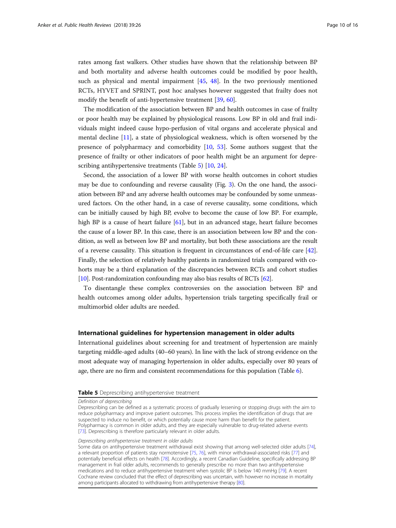rates among fast walkers. Other studies have shown that the relationship between BP and both mortality and adverse health outcomes could be modified by poor health, such as physical and mental impairment  $[45, 48]$  $[45, 48]$  $[45, 48]$  $[45, 48]$  $[45, 48]$ . In the two previously mentioned RCTs, HYVET and SPRINT, post hoc analyses however suggested that frailty does not modify the benefit of anti-hypertensive treatment [[39,](#page-14-0) [60\]](#page-14-0).

The modification of the association between BP and health outcomes in case of frailty or poor health may be explained by physiological reasons. Low BP in old and frail individuals might indeed cause hypo-perfusion of vital organs and accelerate physical and mental decline [\[11](#page-13-0)], a state of physiological weakness, which is often worsened by the presence of polypharmacy and comorbidity [[10,](#page-13-0) [53](#page-14-0)]. Some authors suggest that the presence of frailty or other indicators of poor health might be an argument for depre-scribing antihypertensive treatments (Table 5) [[10,](#page-13-0) [24\]](#page-13-0).

Second, the association of a lower BP with worse health outcomes in cohort studies may be due to confounding and reverse causality (Fig. [3\)](#page-10-0). On the one hand, the association between BP and any adverse health outcomes may be confounded by some unmeasured factors. On the other hand, in a case of reverse causality, some conditions, which can be initially caused by high BP, evolve to become the cause of low BP. For example, high BP is a cause of heart failure [[61](#page-14-0)], but in an advanced stage, heart failure becomes the cause of a lower BP. In this case, there is an association between low BP and the condition, as well as between low BP and mortality, but both these associations are the result of a reverse causality. This situation is frequent in circumstances of end-of-life care [[42](#page-14-0)]. Finally, the selection of relatively healthy patients in randomized trials compared with cohorts may be a third explanation of the discrepancies between RCTs and cohort studies [[10](#page-13-0)]. Post-randomization confounding may also bias results of RCTs [[62](#page-14-0)].

To disentangle these complex controversies on the association between BP and health outcomes among older adults, hypertension trials targeting specifically frail or multimorbid older adults are needed.

# International guidelines for hypertension management in older adults

International guidelines about screening for and treatment of hypertension are mainly targeting middle-aged adults (40–60 years). In line with the lack of strong evidence on the most adequate way of managing hypertension in older adults, especially over 80 years of age, there are no firm and consistent recommendations for this population (Table [6\)](#page-11-0).

Definition of deprescribing

Deprescribing antihypertensive treatment in older adults

Deprescribing can be defined as a systematic process of gradually lessening or stopping drugs with the aim to reduce polypharmacy and improve patient outcomes. This process implies the identification of drugs that are suspected to induce no benefit, or which potentially cause more harm than benefit for the patient. Polypharmacy is common in older adults, and they are especially vulnerable to drug-related adverse events [[73](#page-15-0)]. Deprescribing is therefore particularly relevant in older adults.

Some data on antihypertensive treatment withdrawal exist showing that among well-selected older adults [\[74](#page-15-0)], a relevant proportion of patients stay normotensive [[75](#page-15-0), [76\]](#page-15-0), with minor withdrawal-associated risks [[77](#page-15-0)] and potentially beneficial effects on health [[78](#page-15-0)]. Accordingly, a recent Canadian Guideline, specifically addressing BP management in frail older adults, recommends to generally prescribe no more than two antihypertensive medications and to reduce antihypertensive treatment when systolic BP is below 140 mmHg [\[79\]](#page-15-0). A recent Cochrane review concluded that the effect of deprescribing was uncertain, with however no increase in mortality among participants allocated to withdrawing from antihypertensive therapy [\[80\]](#page-15-0).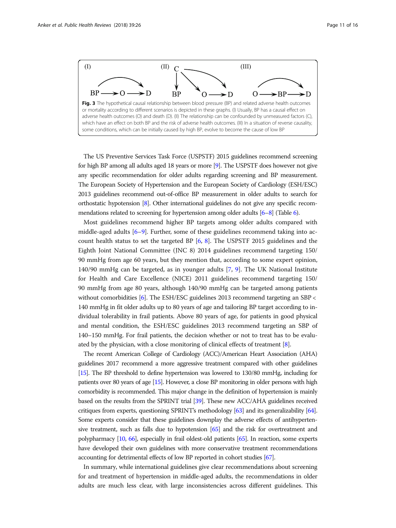<span id="page-10-0"></span>

The US Preventive Services Task Force (USPSTF) 2015 guidelines recommend screening for high BP among all adults aged 18 years or more [\[9\]](#page-13-0). The USPSTF does however not give any specific recommendation for older adults regarding screening and BP measurement. The European Society of Hypertension and the European Society of Cardiology (ESH/ESC) 2013 guidelines recommend out-of-office BP measurement in older adults to search for orthostatic hypotension [\[8\]](#page-13-0). Other international guidelines do not give any specific recommendations related to screening for hypertension among older adults [[6](#page-13-0)–[8\]](#page-13-0) (Table [6](#page-11-0)).

Most guidelines recommend higher BP targets among older adults compared with middle-aged adults [\[6](#page-13-0)–[9\]](#page-13-0). Further, some of these guidelines recommend taking into account health status to set the targeted BP [\[6](#page-13-0), [8\]](#page-13-0). The USPSTF 2015 guidelines and the Eighth Joint National Committee (JNC 8) 2014 guidelines recommend targeting 150/ 90 mmHg from age 60 years, but they mention that, according to some expert opinion, 140/90 mmHg can be targeted, as in younger adults [\[7,](#page-13-0) [9\]](#page-13-0). The UK National Institute for Health and Care Excellence (NICE) 2011 guidelines recommend targeting 150/ 90 mmHg from age 80 years, although 140/90 mmHg can be targeted among patients without comorbidities [\[6\]](#page-13-0). The ESH/ESC guidelines 2013 recommend targeting an SBP < 140 mmHg in fit older adults up to 80 years of age and tailoring BP target according to individual tolerability in frail patients. Above 80 years of age, for patients in good physical and mental condition, the ESH/ESC guidelines 2013 recommend targeting an SBP of 140–150 mmHg. For frail patients, the decision whether or not to treat has to be evaluated by the physician, with a close monitoring of clinical effects of treatment [\[8\]](#page-13-0).

The recent American College of Cardiology (ACC)/American Heart Association (AHA) guidelines 2017 recommend a more aggressive treatment compared with other guidelines [[15\]](#page-13-0). The BP threshold to define hypertension was lowered to 130/80 mmHg, including for patients over 80 years of age [\[15\]](#page-13-0). However, a close BP monitoring in older persons with high comorbidity is recommended. This major change in the definition of hypertension is mainly based on the results from the SPRINT trial [[39](#page-14-0)]. These new ACC/AHA guidelines received critiques from experts, questioning SPRINT's methodology [[63](#page-14-0)] and its generalizability [\[64](#page-14-0)]. Some experts consider that these guidelines downplay the adverse effects of antihypertensive treatment, such as falls due to hypotension [\[65](#page-15-0)] and the risk for overtreatment and polypharmacy [\[10](#page-13-0), [66\]](#page-15-0), especially in frail oldest-old patients [\[65\]](#page-15-0). In reaction, some experts have developed their own guidelines with more conservative treatment recommendations accounting for detrimental effects of low BP reported in cohort studies [\[67](#page-15-0)].

In summary, while international guidelines give clear recommendations about screening for and treatment of hypertension in middle-aged adults, the recommendations in older adults are much less clear, with large inconsistencies across different guidelines. This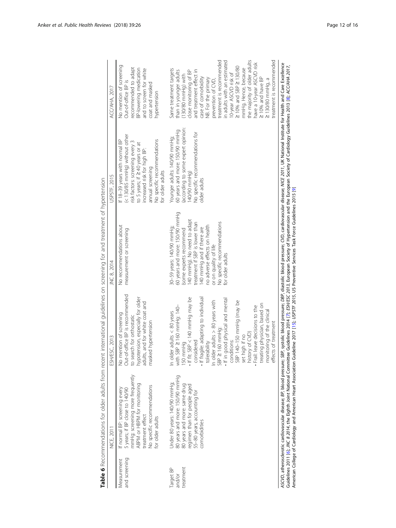<span id="page-11-0"></span>

|                                  | Table 6 Recommendations for older adults from recent international guidelines on screening for and treatment of hypertension                                                                             |                                                                                                                                                                                                                                                                                                                                                                                                                                                                                        |                                                                                                                                                                                                                                                                                               |                                                                                                                                                                                                                                                                                                                                                                                                                                                    |                                                                                                                                                                                                                                                                                                                                                                                                                                                                       |
|----------------------------------|----------------------------------------------------------------------------------------------------------------------------------------------------------------------------------------------------------|----------------------------------------------------------------------------------------------------------------------------------------------------------------------------------------------------------------------------------------------------------------------------------------------------------------------------------------------------------------------------------------------------------------------------------------------------------------------------------------|-----------------------------------------------------------------------------------------------------------------------------------------------------------------------------------------------------------------------------------------------------------------------------------------------|----------------------------------------------------------------------------------------------------------------------------------------------------------------------------------------------------------------------------------------------------------------------------------------------------------------------------------------------------------------------------------------------------------------------------------------------------|-----------------------------------------------------------------------------------------------------------------------------------------------------------------------------------------------------------------------------------------------------------------------------------------------------------------------------------------------------------------------------------------------------------------------------------------------------------------------|
|                                  | NICE, 2011                                                                                                                                                                                               | ESH/ESC, 2013                                                                                                                                                                                                                                                                                                                                                                                                                                                                          | JNC 8, 2014                                                                                                                                                                                                                                                                                   | USPSTF, 2015                                                                                                                                                                                                                                                                                                                                                                                                                                       | ACC/AHA, 2017                                                                                                                                                                                                                                                                                                                                                                                                                                                         |
| and screening<br>Measurement     | mmHg: screening more frequently<br>ABPM or HBPM for monitoring<br>No specific recommendations<br>If normal BP: screening every<br>5 years; if BP close to 140/90<br>treatment effect<br>for older adults | Out-of-office BP is recommended<br>hypotension, especially for older<br>adults, and for white coat and<br>No mention of screening<br>to search for orthostatic<br>masked hypertension                                                                                                                                                                                                                                                                                                  | No recommendations about<br>measurement or screening                                                                                                                                                                                                                                          | $(<$ 130/85 mmHg) without other<br>No specific recommendations<br>If 18-39 years with normal BP<br>risk factors: screening every 3<br>td<br>to 5 years; if $\geq$ 40 years or<br>increased risk for high BP:<br>annual screening<br>for older adults                                                                                                                                                                                               | No mention of screening<br>recommended to adapt<br>BP-lowering medication<br>and to screen for white<br>Out-of-office BP is<br>coat and masked<br>hypertension                                                                                                                                                                                                                                                                                                        |
| treatment<br>Target BP<br>and/or | 80 years and more: 150/90 mmHg<br>Under 80 years: 140/90 mmHg;<br>80 years and more: same drug<br>regimen than for people aged<br>55-80 years, accounting for<br>comorbidities                           | . If fit: SBP < 140 mmHg may be<br>. If fragile: adapting to individual<br>. If in good physical and mental<br>In older adults $> 80$ years with<br>SBP 140-150 mmHg (may be<br>treating physician, based on<br>with SBP 2 160 mmHg: 140-<br>. Frail: leave decisions to the<br>monitoring of the clinical<br>In older adults < 80 years<br>effects of treatment<br>$SBP \geq 160$ mmHg:<br>history of CVD)<br>set high if no<br>considered<br>conditions:<br>150 mmHg<br>tolerability | 60 years and more: 150/90 mmHg<br>40 mmHg). No need to adapt<br>No specific recommendations<br>treatment if SBP is lower than<br>no adverse effects on health<br>30–59 years: 140/90 mmHg;<br>40 mmHg and if there are<br>some experts recommend<br>or on quality of life<br>for older adults | (according to some expert opinion:<br>60 years and more: 150/90 mmHg<br>No specific recommendations for<br>Younger adults: 140/90 mmHg;<br>140/90 mmHg)<br>older adults                                                                                                                                                                                                                                                                            | treatment is recommended<br>the majority of older adults<br>treatment is recommended<br>in adults with an estimated<br>have a 10-year ASCVD risk<br>≥ 10% and SBP ≥ 130/80<br>mmHg. Hence, because<br>Same treatment targets<br>and treatment effect in<br>close monitoring of BP<br>than in younger adults<br>10-year ASCVD risk of<br>(130/80 mmHg) with<br>case of comorbidity<br>210% and have BP<br>NB. For the primary<br>2130/80 mmHg, a<br>prevention of CVD, |
|                                  | American College of Cardiology and American Heart Association Gu                                                                                                                                         |                                                                                                                                                                                                                                                                                                                                                                                                                                                                                        | ideline 2017 [15]; USPSTF 2015, US Preventive Services Task Force Guidelines 2015 [9]                                                                                                                                                                                                         | ASCVD, atherosclerotic cardiovascular disease; BP, blood pressure; SBP, systolic blood pressure; CBBP, diastolic blood pressure; CVD, cardiovascular disease; WCE 2011, UK National Institute for Health and Care Excellence<br>Guidelines 2011 [6]; JNC 8 2014, the Eighth Joint National Committee Guidelines 2014 [7]; ESH/ESC 2013, European Society of Hypertension and the European Society of Cardiology Guidelines 2013 [8]; ACC/AHA 2017, |                                                                                                                                                                                                                                                                                                                                                                                                                                                                       |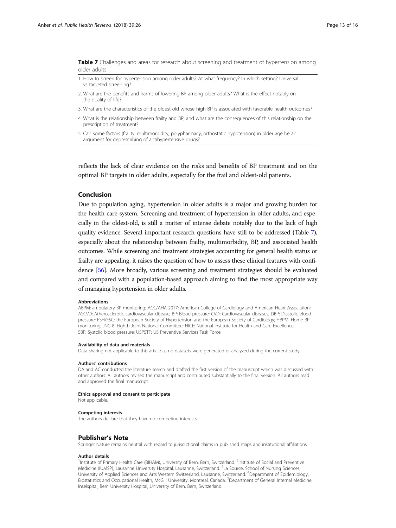Table 7 Challenges and areas for research about screening and treatment of hypertension among older adults

- 1. How to screen for hypertension among older adults? At what frequency? In which setting? Universal vs targeted screening?
- 2. What are the benefits and harms of lowering BP among older adults? What is the effect notably on the quality of life?
- 3. What are the characteristics of the oldest-old whose high BP is associated with favorable health outcomes?
- 4. What is the relationship between frailty and BP, and what are the consequences of this relationship on the prescription of treatment?
- 5. Can some factors (frailty, multimorbidity, polypharmacy, orthostatic hypotension) in older age be an argument for deprescribing of antihypertensive drugs?

reflects the lack of clear evidence on the risks and benefits of BP treatment and on the optimal BP targets in older adults, especially for the frail and oldest-old patients.

# Conclusion

Due to population aging, hypertension in older adults is a major and growing burden for the health care system. Screening and treatment of hypertension in older adults, and especially in the oldest-old, is still a matter of intense debate notably due to the lack of high quality evidence. Several important research questions have still to be addressed (Table 7), especially about the relationship between frailty, multimorbidity, BP, and associated health outcomes. While screening and treatment strategies accounting for general health status or frailty are appealing, it raises the question of how to assess these clinical features with confidence [\[56\]](#page-14-0). More broadly, various screening and treatment strategies should be evaluated and compared with a population-based approach aiming to find the most appropriate way of managing hypertension in older adults.

#### **Abbreviations**

ABPM: ambulatory BP monitoring; ACC/AHA 2017: American College of Cardiology and American Heart Association; ASCVD: Atherosclerotic cardiovascular disease; BP: Blood pressure; CVD: Cardiovascular diseases; DBP: Diastolic blood pressure; ESH/ESC: the European Society of Hypertension and the European Society of Cardiology; HBPM: Home BP monitoring; JNC 8: Eighth Joint National Committee; NICE: National Institute for Health and Care Excellence; SBP: Systolic blood pressure; USPSTF: US Preventive Services Task Force

#### Availability of data and materials

Data sharing not applicable to this article as no datasets were generated or analyzed during the current study.

#### Authors' contributions

DA and AC conducted the literature search and drafted the first version of the manuscript which was discussed with other authors. All authors revised the manuscript and contributed substantially to the final version. All authors read and approved the final manuscript.

#### Ethics approval and consent to participate

Not applicable.

#### Competing interests

The authors declare that they have no competing interests.

# Publisher's Note

Springer Nature remains neutral with regard to jurisdictional claims in published maps and institutional affiliations.

#### Author details

<sup>1</sup>Institute of Primary Health Care (BIHAM), University of Bern, Bern, Switzerland. <sup>2</sup>Institute of Social and Preventive Medicine (IUMSP), Lausanne University Hospital, Lausanne, Switzerland. <sup>3</sup>La Source, School of Nursing Sciences, University of Applied Sciences and Arts Western Switzerland, Lausanne, Switzerland. <sup>4</sup> Department of Epidemiology, Biostatistics and Occupational Health, McGill University, Montreal, Canada. <sup>5</sup>Department of General Internal Medicine, Inselspital, Bern University Hospital, University of Bern, Bern, Switzerland.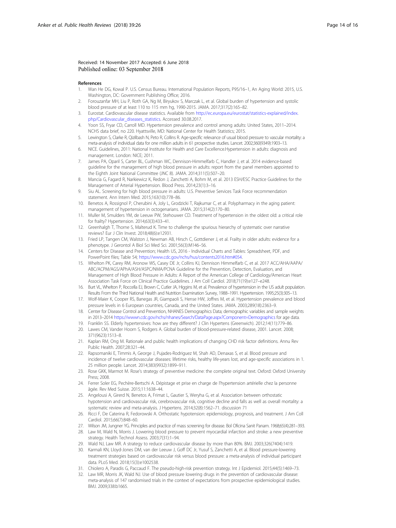### <span id="page-13-0"></span>Received: 14 November 2017 Accepted: 6 June 2018 Published online: 03 September 2018

#### References

- Wan He DG, Kowal P. U.S. Census Bureau. International Population Reports, P95/16–1, An Aging World: 2015, U.S. Washington, DC: Government Publishing Office; 2016.
- 2. Forouzanfar MH, Liu P, Roth GA, Ng M, Biryukov S, Marczak L, et al. Global burden of hypertension and systolic blood pressure of at least 110 to 115 mm hg, 1990-2015. JAMA. 2017;317(2):165–82.
- 3. Eurostat. Cardiovascular disease statistics. Available from [http://ec.europa.eu/eurostat/statistics-explained/index.](http://ec.europa.eu/eurostat/statistics-explained/index.php/Cardiovascular_diseases_statistics) [php/Cardiovascular\\_diseases\\_statistics](http://ec.europa.eu/eurostat/statistics-explained/index.php/Cardiovascular_diseases_statistics). Accessed 30.08.2017.
- 4. Yoon SS, Fryar CD, Carroll MD. Hypertension prevalence and control among adults: United States, 2011–2014. NCHS data brief, no 220. Hyattsville, MD: National Center for Health Statistics; 2015.
- 5. Lewington S, Clarke R, Qizilbash N, Peto R, Collins R. Age-specific relevance of usual blood pressure to vascular mortality: a meta-analysis of individual data for one million adults in 61 prospective studies. Lancet. 2002;360(9349):1903–13.
- 6. NICE. Guidelines, 2011: National Institute for Health and Care Excellence.Hypertension in adults: diagnosis and management. London: NICE: 2011.
- 7. James PA, Oparil S, Carter BL, Cushman WC, Dennison-Himmelfarb C, Handler J, et al. 2014 evidence-based guideline for the management of high blood pressure in adults: report from the panel members appointed to the Eighth Joint National Committee (JNC 8). JAMA. 2014;311(5):507–20.
- Mancia G, Fagard R, Narkiewicz K, Redon J, Zanchetti A, Bohm M, et al. 2013 ESH/ESC Practice Guidelines for the Management of Arterial Hypertension. Blood Press. 2014;23(1):3–16.
- 9. Siu AL. Screening for high blood pressure in adults: U.S. Preventive Services Task Force recommendation statement. Ann Intern Med. 2015;163(10):778–86.
- 10. Benetos A, Rossignol P, Cherubini A, Joly L, Grodzicki T, Rajkumar C, et al. Polypharmacy in the aging patient: management of hypertension in octogenarians. JAMA. 2015;314(2):170–80.
- 11. Muller M, Smulders YM, de Leeuw PW, Stehouwer CD. Treatment of hypertension in the oldest old: a critical role for frailty? Hypertension. 2014;63(3):433–41.
- 12. Greenhalgh T, Thorne S, Malterud K. Time to challenge the spurious hierarchy of systematic over narrative reviews? Eur J Clin Invest. 2018;48(6):e12931.
- 13. Fried LP, Tangen CM, Walston J, Newman AB, Hirsch C, Gottdiener J, et al. Frailty in older adults: evidence for a phenotype. J Gerontol A Biol Sci Med Sci. 2001;56(3):M146–56.
- 14. Centers for Disease and Prevention; Health US, 2016 Individual Charts and Tables: Spreadsheet, PDF, and PowerPoint files; Table 54; [https://www.cdc.gov/nchs/hus/contents2016.htm#054.](https://www.cdc.gov/nchs/hus/contents2016.htm#054)
- 15. Whelton PK, Carey RM, Aronow WS, Casey DE Jr, Collins KJ, Dennison Himmelfarb C, et al. 2017 ACC/AHA/AAPA/ ABC/ACPM/AGS/APhA/ASH/ASPC/NMA/PCNA Guideline for the Prevention, Detection, Evaluation, and Management of High Blood Pressure in Adults: A Report of the American College of Cardiology/American Heart Association Task Force on Clinical Practice Guidelines. J Am Coll Cardiol. 2018;71(19):e127–e248.
- 16. Burt VL, Whelton P, Roccella EJ, Brown C, Cutler JA, Higgins M, et al. Prevalence of hypertension in the US adult population. Results From the Third National Health and Nutrition Examination Survey, 1988–1991. Hypertension. 1995;25(3):305–13.
- 17. Wolf-Maier K, Cooper RS, Banegas JR, Giampaoli S, Hense HW, Joffres M, et al. Hypertension prevalence and blood pressure levels in 6 European countries, Canada, and the United States. JAMA. 2003;289(18):2363–9.
- 18. Center for Disease Control and Prevention, NHANES Demographics Data; demographic variables and sample weights in 2013–2014 <https://wwwn.cdc.gov/nchs/nhanes/Search/DataPage.aspx?Component=Demographics> for age data.
- 19. Franklin SS. Elderly hypertensives: how are they different? J Clin Hypertens (Greenwich). 2012;14(11):779–86.
- 20. Lawes CM, Vander Hoorn S, Rodgers A. Global burden of blood-pressure-related disease, 2001. Lancet. 2008; 371(9623):1513–8.
- 21. Kaplan RM, Ong M. Rationale and public health implications of changing CHD risk factor definitions. Annu Rev Public Health. 2007;28:321–44.
- 22. Rapsomaniki E, Timmis A, George J, Pujades-Rodriguez M, Shah AD, Denaxas S, et al. Blood pressure and incidence of twelve cardiovascular diseases: lifetime risks, healthy life-years lost, and age-specific associations in 1. 25 million people. Lancet. 2014;383(9932):1899–911.
- 23. Rose GKK, Marmot M. Rose's strategy of preventive medicine: the complete original text. Oxford: Oxford University Press; 2008.
- 24. Ferrer Soler EG, Pechère-Bertschi A. Dépistage et prise en charge de l'hypertension artérielle chez la personne âgée. Rev Med Suisse. 2015;11:1638–44.
- 25. Angelousi A, Girerd N, Benetos A, Frimat L, Gautier S, Weryha G, et al. Association between orthostatic hypotension and cardiovascular risk, cerebrovascular risk, cognitive decline and falls as well as overall mortality: a systematic review and meta-analysis. J Hypertens. 2014;32(8):1562–71. discussion 71
- 26. Ricci F, De Caterina R, Fedorowski A. Orthostatic hypotension: epidemiology, prognosis, and treatment. J Am Coll Cardiol. 2015;66(7):848–60.
- 27. Wilson JM, Jungner YG. Principles and practice of mass screening for disease. Bol Oficina Sanit Panam. 1968;65(4):281–393.
- 28. Law M, Wald N, Morris J. Lowering blood pressure to prevent myocardial infarction and stroke: a new preventive strategy. Health Technol Assess. 2003;7(31):1–94.
- 29. Wald NJ, Law MR. A strategy to reduce cardiovascular disease by more than 80%. BMJ. 2003;326(7404):1419.
- 30. Karmali KN, Lloyd-Jones DM, van der Leeuw J, Goff DC Jr, Yusuf S, Zanchetti A, et al. Blood pressure-lowering treatment strategies based on cardiovascular risk versus blood pressure: a meta-analysis of individual participant data. PLoS Med. 2018;15(3):e1002538.
- 31. Chiolero A, Paradis G, Paccaud F. The pseudo-high-risk prevention strategy. Int J Epidemiol. 2015;44(5):1469–73.
- 32. Law MR, Morris JK, Wald NJ. Use of blood pressure lowering drugs in the prevention of cardiovascular disease: meta-analysis of 147 randomised trials in the context of expectations from prospective epidemiological studies. BMJ. 2009;338:b1665.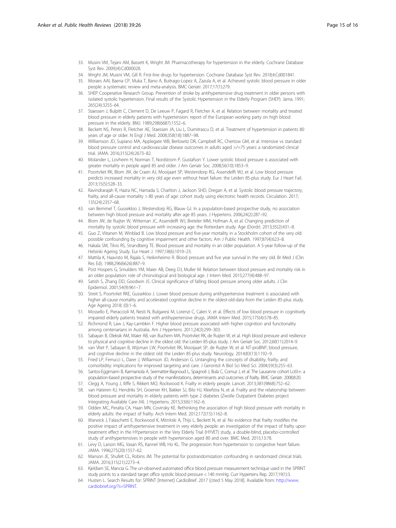- <span id="page-14-0"></span>33. Musini VM, Tejani AM, Bassett K, Wright JM. Pharmacotherapy for hypertension in the elderly. Cochrane Database Syst Rev. 2009;(4):Cd000028.
- 34. Wright JM, Musini VM, Gill R. First-line drugs for hypertension. Cochrane Database Syst Rev. 2018;4:Cd001841.
- 35. Moraes AAI, Baena CP, Muka T, Bano A, Buitrago-Lopez A, Zazula A, et al. Achieved systolic blood pressure in older people: a systematic review and meta-analysis. BMC Geriatr. 2017;17(1):279.
- 36. SHEP Cooperative Research Group. Prevention of stroke by antihypertensive drug treatment in older persons with isolated systolic hypertension. Final results of the Systolic Hypertension in the Elderly Program (SHEP). Jama. 1991; 265(24):3255–64.
- 37. Staessen J, Bulpitt C, Clement D, De Leeuw P, Fagard R, Fletcher A, et al. Relation between mortality and treated blood pressure in elderly patients with hypertension: report of the European working party on high blood pressure in the elderly. BMJ. 1989;298(6687):1552–6.
- 38. Beckett NS, Peters R, Fletcher AE, Staessen JA, Liu L, Dumitrascu D, et al. Treatment of hypertension in patients 80 years of age or older. N Engl J Med. 2008;358(18):1887–98.
- 39. Williamson JD, Supiano MA, Applegate WB, Berlowitz DR, Campbell RC, Chertow GM, et al. Intensive vs standard blood pressure control and cardiovascular disease outcomes in adults aged >/=75 years: a randomized clinical trial. JAMA. 2016;315(24):2673–82.
- 40. Molander L, Lovheim H, Norman T, Nordstrom P, Gustafson Y. Lower systolic blood pressure is associated with greater mortality in people aged 85 and older. J Am Geriatr Soc. 2008;56(10):1853–9.
- 41. Poortvliet RK, Blom JW, de Craen AJ, Mooijaart SP, Westendorp RG, Assendelft WJ, et al. Low blood pressure predicts increased mortality in very old age even without heart failure: the Leiden 85-plus study. Eur J Heart Fail. 2013;15(5):528–33.
- 42. Ravindrarajah R, Hazra NC, Hamada S, Charlton J, Jackson SHD, Dregan A, et al. Systolic blood pressure trajectory, frailty, and all-cause mortality > 80 years of age: cohort study using electronic health records. Circulation. 2017; 135(24):2357–68.
- 43. van Bemmel T, Gussekloo J, Westendorp RG, Blauw GJ. In a population-based prospective study, no association between high blood pressure and mortality after age 85 years. J Hypertens. 2006;24(2):287–92.
- 44. Blom JW, de Ruijter W, Witteman JC, Assendelft WJ, Breteler MM, Hofman A, et al. Changing prediction of mortality by systolic blood pressure with increasing age: the Rotterdam study. Age (Dordr). 2013;35(2):431–8.
- 45. Guo Z, Viitanen M, Winblad B. Low blood pressure and five-year mortality in a Stockholm cohort of the very old: possible confounding by cognitive impairment and other factors. Am J Public Health. 1997;87(4):623–8.
- 46. Hakala SM, Tilvis RS, Strandberg TE. Blood pressure and mortality in an older population. A 5-year follow-up of the Helsinki Ageing Study. Eur Heart J. 1997;18(6):1019–23.
- 47. Mattila K, Haavisto M, Rajala S, Heikinheimo R. Blood pressure and five year survival in the very old. Br Med J (Clin Res Ed). 1988;296(6626):887–9.
- 48. Post Hospers G, Smulders YM, Maier AB, Deeg DJ, Muller M. Relation between blood pressure and mortality risk in an older population: role of chronological and biological age. J Intern Med. 2015;277(4):488–97.
- 49. Satish S, Zhang DD, Goodwin JS. Clinical significance of falling blood pressure among older adults. J Clin Epidemiol. 2001;54(9):961–7.
- 50. Streit S, Poortvliet RKE, Gussekloo J. Lower blood pressure during antihypertensive treatment is associated with higher all-cause mortality and accelerated cognitive decline in the oldest-old-data from the Leiden 85-plus study. Age Ageing 2018; (0):1–6.
- 51. Mossello E, Pieraccioli M, Nesti N, Bulgaresi M, Lorenzi C, Caleri V, et al. Effects of low blood pressure in cognitively impaired elderly patients treated with antihypertensive drugs. JAMA Intern Med. 2015;175(4):578–85.
- 52. Richmond R, Law J, Kay-Lambkin F. Higher blood pressure associated with higher cognition and functionality among centenarians in Australia. Am J Hypertens. 2011;24(3):299–303.
- 53. Sabayan B, Oleksik AM, Maier AB, van Buchem MA, Poortvliet RK, de Ruijter W, et al. High blood pressure and resilience to physical and cognitive decline in the oldest old: the Leiden 85-plus study. J Am Geriatr Soc. 2012;60(11):2014–9.
- 54. van Vliet P, Sabayan B, Wijsman LW, Poortvliet RK, Mooijaart SP, de Ruijter W, et al. NT-proBNP, blood pressure, and cognitive decline in the oldest old: the Leiden 85-plus study. Neurology. 2014;83(13):1192–9.
- 55. Fried LP, Ferrucci L, Darer J, Williamson JD, Anderson G. Untangling the concepts of disability, frailty, and comorbidity: implications for improved targeting and care. J Gerontol A Biol Sci Med Sci. 2004;59(3):255–63.
- 56. Santos-Eggimann B, Karmaniola A, Seematter-Bagnoud L, Spagnoli J, Bula C, Cornuz J, et al. The Lausanne cohort Lc65+: a population-based prospective study of the manifestations, determinants and outcomes of frailty. BMC Geriatr. 2008;8:20.
- 57. Clegg A, Young J, Iliffe S, Rikkert MO, Rockwood K. Frailty in elderly people. Lancet. 2013;381(9868):752–62.
- 58. van Hateren KJ, Hendriks SH, Groenier KH, Bakker SJ, Bilo HJ, Kleefstra N, et al. Frailty and the relationship between blood pressure and mortality in elderly patients with type 2 diabetes (Zwolle Outpatient Diabetes project Integrating Available Care-34). J Hypertens. 2015;33(6):1162–6.
- 59. Odden MC, Peralta CA, Haan MN, Covinsky KE. Rethinking the association of high blood pressure with mortality in elderly adults: the impact of frailty. Arch Intern Med. 2012;172(15):1162–8.
- 60. Warwick J, Falaschetti E, Rockwood K, Mitnitski A, Thijs L, Beckett N, et al. No evidence that frailty modifies the positive impact of antihypertensive treatment in very elderly people: an investigation of the impact of frailty upon treatment effect in the HYpertension in the Very Elderly Trial (HYVET) study, a double-blind, placebo-controlled study of antihypertensives in people with hypertension aged 80 and over. BMC Med. 2015;13:78.
- 61. Levy D, Larson MG, Vasan RS, Kannel WB, Ho KL. The progression from hypertension to congestive heart failure. JAMA. 1996;275(20):1557–62.
- 62. Manson JE, Shufelt CL, Robins JM. The potential for postrandomization confounding in randomized clinical trials. JAMA. 2016;315(21):2273–4.
- 63. Kjeldsen SE, Mancia G. The un-observed automated office blood pressure measurement technique used in the SPRINT study points to a standard target office systolic blood pressure < 140 mmHg. Curr Hypertens Rep. 2017;19(1):3.
- 64. Husten L. Search Results for: SPRINT [Internet] CardioBrief. 2017 [cited 5 May 2018]. Available from: [http://www.](http://www.cardiobrief.org/?s=SPRINT) [cardiobrief.org/?s=SPRINT](http://www.cardiobrief.org/?s=SPRINT).